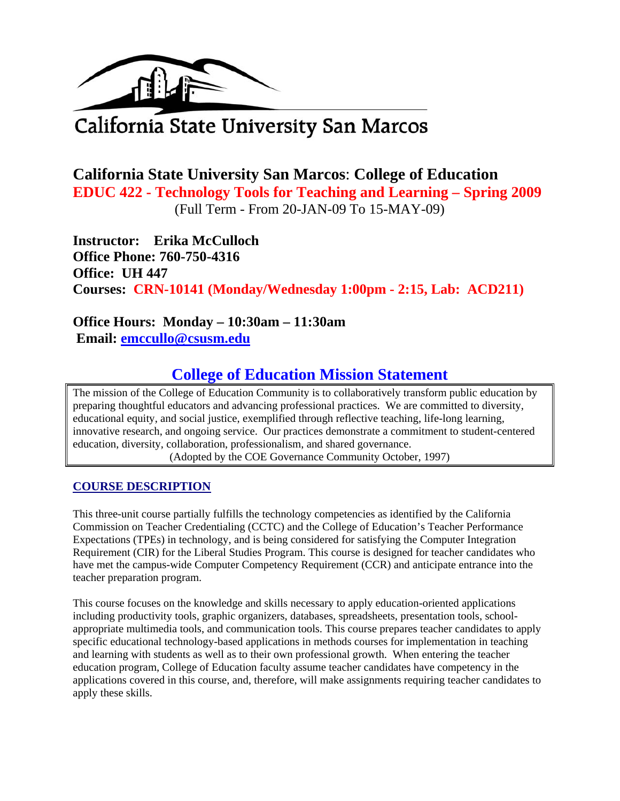

# California State University San Marcos

**California State University San Marcos**: **College of Education EDUC 422 - Technology Tools for Teaching and Learning – Spring 2009**  (Full Term - From 20-JAN-09 To 15-MAY-09)

 **Instructor: Erika McCulloch Office Phone: 760-750-4316 Office: UH 447 Courses: CRN-10141 (Monday/Wednesday 1:00pm - 2:15, Lab: ACD211)** 

**Office Hours: Monday – 10:30am – 11:30am Email: emccullo@csusm.edu** 

## **College of Education Mission Statement**

The mission of the College of Education Community is to collaboratively transform public education by preparing thoughtful educators and advancing professional practices. We are committed to diversity, educational equity, and social justice, exemplified through reflective teaching, life-long learning, innovative research, and ongoing service. Our practices demonstrate a commitment to student-centered education, diversity, collaboration, professionalism, and shared governance. (Adopted by the COE Governance Community October, 1997)

## **COURSE DESCRIPTION**

This three-unit course partially fulfills the technology competencies as identified by the California Commission on Teacher Credentialing (CCTC) and the College of Education's Teacher Performance Expectations (TPEs) in technology, and is being considered for satisfying the Computer Integration Requirement (CIR) for the Liberal Studies Program. This course is designed for teacher candidates who have met the campus-wide Computer Competency Requirement (CCR) and anticipate entrance into the teacher preparation program.

This course focuses on the knowledge and skills necessary to apply education-oriented applications including productivity tools, graphic organizers, databases, spreadsheets, presentation tools, schoolappropriate multimedia tools, and communication tools. This course prepares teacher candidates to apply specific educational technology-based applications in methods courses for implementation in teaching and learning with students as well as to their own professional growth. When entering the teacher education program, College of Education faculty assume teacher candidates have competency in the applications covered in this course, and, therefore, will make assignments requiring teacher candidates to apply these skills.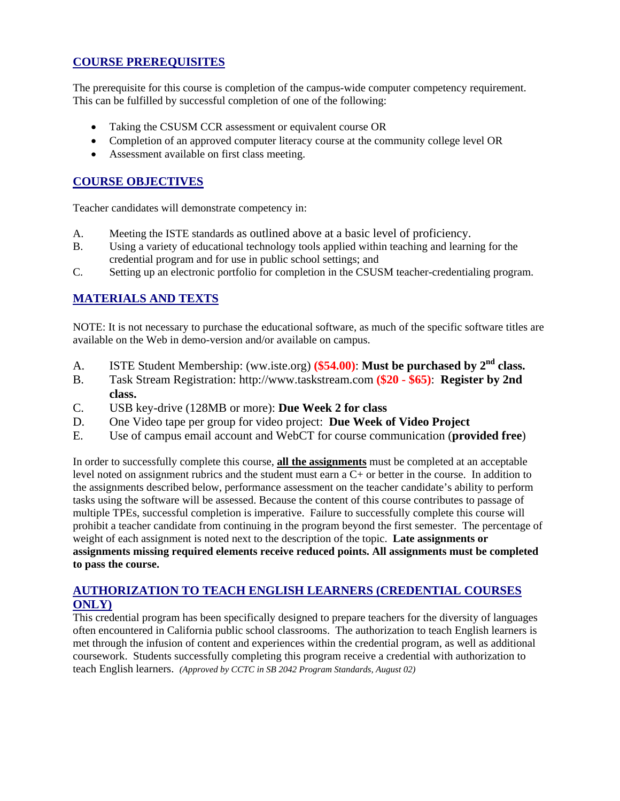## **COURSE PREREQUISITES**

The prerequisite for this course is completion of the campus-wide computer competency requirement. This can be fulfilled by successful completion of one of the following:

- Taking the CSUSM CCR assessment or equivalent course OR
- Completion of an approved computer literacy course at the community college level OR
- Assessment available on first class meeting.

## **COURSE OBJECTIVES**

Teacher candidates will demonstrate competency in:

- A. Meeting the ISTE standards as outlined above at a basic level of proficiency.
- B. Using a variety of educational technology tools applied within teaching and learning for the credential program and for use in public school settings; and
- C. Setting up an electronic portfolio for completion in the CSUSM teacher-credentialing program.

## **MATERIALS AND TEXTS**

NOTE: It is not necessary to purchase the educational software, as much of the specific software titles are available on the Web in demo-version and/or available on campus.

- A. ISTE Student Membership: (ww.iste.org) **(\$54.00)**: **Must be purchased by 2nd class.**
- B. Task Stream Registration: http://www.taskstream.com **(\$20 \$65)**: **Register by 2nd class.**
- C. USB key-drive (128MB or more): **Due Week 2 for class**
- D. One Video tape per group for video project: **Due Week of Video Project**
- E. Use of campus email account and WebCT for course communication (**provided free**)

In order to successfully complete this course, **all the assignments** must be completed at an acceptable level noted on assignment rubrics and the student must earn a C+ or better in the course. In addition to the assignments described below, performance assessment on the teacher candidate's ability to perform tasks using the software will be assessed. Because the content of this course contributes to passage of multiple TPEs, successful completion is imperative. Failure to successfully complete this course will prohibit a teacher candidate from continuing in the program beyond the first semester. The percentage of weight of each assignment is noted next to the description of the topic. **Late assignments or assignments missing required elements receive reduced points. All assignments must be completed to pass the course.** 

## **AUTHORIZATION TO TEACH ENGLISH LEARNERS (CREDENTIAL COURSES ONLY)**

This credential program has been specifically designed to prepare teachers for the diversity of languages often encountered in California public school classrooms. The authorization to teach English learners is met through the infusion of content and experiences within the credential program, as well as additional coursework. Students successfully completing this program receive a credential with authorization to teach English learners. *(Approved by CCTC in SB 2042 Program Standards, August 02)*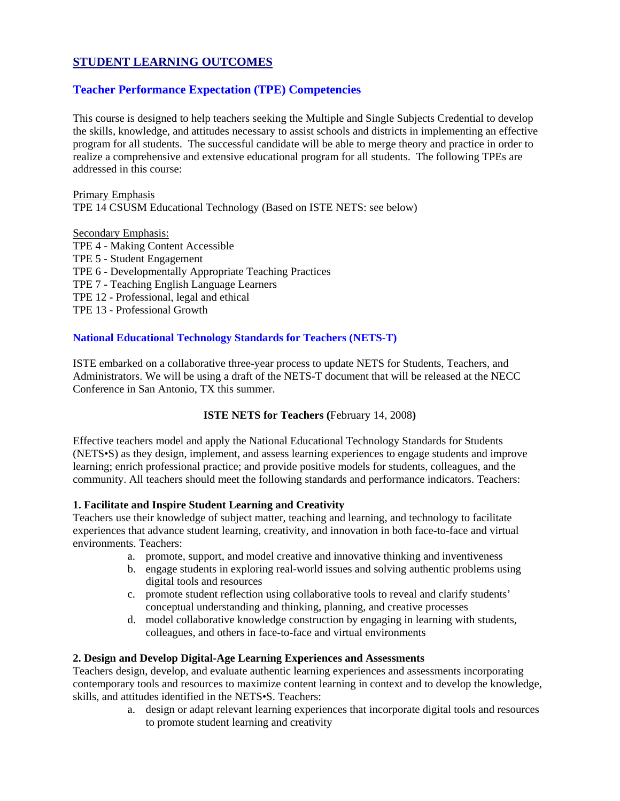## **STUDENT LEARNING OUTCOMES**

## **Teacher Performance Expectation (TPE) Competencies**

This course is designed to help teachers seeking the Multiple and Single Subjects Credential to develop the skills, knowledge, and attitudes necessary to assist schools and districts in implementing an effective program for all students. The successful candidate will be able to merge theory and practice in order to realize a comprehensive and extensive educational program for all students. The following TPEs are addressed in this course:

Primary Emphasis TPE 14 CSUSM Educational Technology (Based on ISTE NETS: see below)

Secondary Emphasis: TPE 4 - Making Content Accessible TPE 5 - Student Engagement TPE 6 - Developmentally Appropriate Teaching Practices TPE 7 - Teaching English Language Learners TPE 12 - Professional, legal and ethical TPE 13 - Professional Growth

#### **National Educational Technology Standards for Teachers (NETS-T)**

ISTE embarked on a collaborative three-year process to update NETS for Students, Teachers, and Administrators. We will be using a draft of the NETS-T document that will be released at the NECC Conference in San Antonio, TX this summer.

#### **ISTE NETS for Teachers (**February 14, 2008**)**

Effective teachers model and apply the National Educational Technology Standards for Students (NETS•S) as they design, implement, and assess learning experiences to engage students and improve learning; enrich professional practice; and provide positive models for students, colleagues, and the community. All teachers should meet the following standards and performance indicators. Teachers:

#### **1. Facilitate and Inspire Student Learning and Creativity**

Teachers use their knowledge of subject matter, teaching and learning, and technology to facilitate experiences that advance student learning, creativity, and innovation in both face-to-face and virtual environments. Teachers:

- a. promote, support, and model creative and innovative thinking and inventiveness
- b. engage students in exploring real-world issues and solving authentic problems using digital tools and resources
- c. promote student reflection using collaborative tools to reveal and clarify students' conceptual understanding and thinking, planning, and creative processes
- d. model collaborative knowledge construction by engaging in learning with students, colleagues, and others in face-to-face and virtual environments

#### **2. Design and Develop Digital-Age Learning Experiences and Assessments**

Teachers design, develop, and evaluate authentic learning experiences and assessments incorporating contemporary tools and resources to maximize content learning in context and to develop the knowledge, skills, and attitudes identified in the NETS•S. Teachers:

> a. design or adapt relevant learning experiences that incorporate digital tools and resources to promote student learning and creativity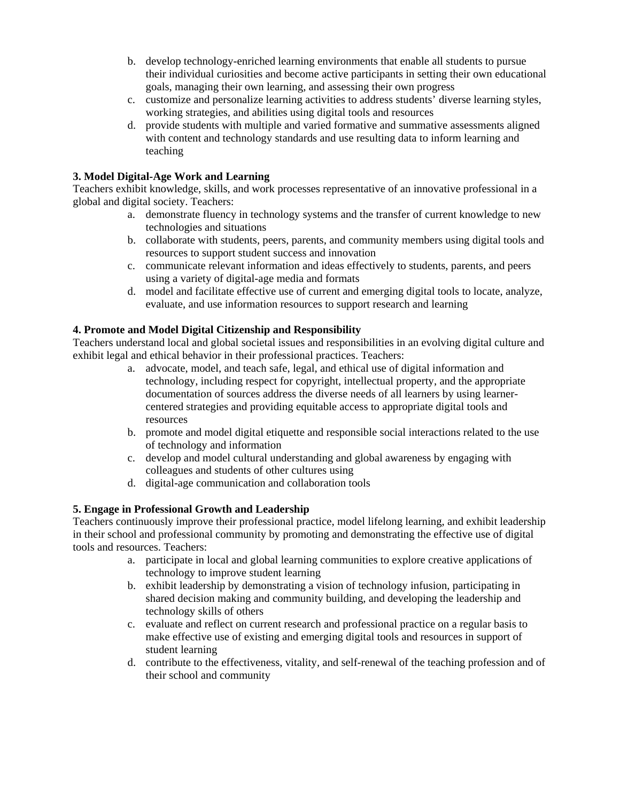- b. develop technology-enriched learning environments that enable all students to pursue their individual curiosities and become active participants in setting their own educational goals, managing their own learning, and assessing their own progress
- c. customize and personalize learning activities to address students' diverse learning styles, working strategies, and abilities using digital tools and resources
- d. provide students with multiple and varied formative and summative assessments aligned with content and technology standards and use resulting data to inform learning and teaching

#### **3. Model Digital-Age Work and Learning**

Teachers exhibit knowledge, skills, and work processes representative of an innovative professional in a global and digital society. Teachers:

- technologies and situations a. demonstrate fluency in technology systems and the transfer of current knowledge to new
- b. collaborate with students, peers, parents, and community members using digital tools and resources to support student success and innovation
- c. communicate relevant information and ideas effectively to students, parents, and peers using a variety of digital-age media and formats
- d. model and facilitate effective use of current and emerging digital tools to locate, analyze, evaluate, and use information resources to support research and learning

#### **4. Promote and Model Digital Citizenship and Responsibility**

Teachers understand local and global societal issues and responsibilities in an evolving digital culture and exhibit legal and ethical behavior in their professional practices. Teachers:

- a. advocate, model, and teach safe, legal, and ethical use of digital information and technology, including respect for copyright, intellectual property, and the appropriate documentation of sources address the diverse needs of all learners by using learnercentered strategies and providing equitable access to appropriate digital tools and resources
- b. promote and model digital etiquette and responsible social interactions related to the use of technology and information
- c. develop and model cultural understanding and global awareness by engaging with colleagues and students of other cultures using
- d. digital-age communication and collaboration tools

#### **5. Engage in Professional Growth and Leadership**

Teachers continuously improve their professional practice, model lifelong learning, and exhibit leadership in their school and professional community by promoting and demonstrating the effective use of digital tools and resources. Teachers:

- a. participate in local and global learning communities to explore creative applications of technology to improve student learning
- b. exhibit leadership by demonstrating a vision of technology infusion, participating in shared decision making and community building, and developing the leadership and technology skills of others
- c. evaluate and reflect on current research and professional practice on a regular basis to make effective use of existing and emerging digital tools and resources in support of student learning
- d. contribute to the effectiveness, vitality, and self-renewal of the teaching profession and of their school and community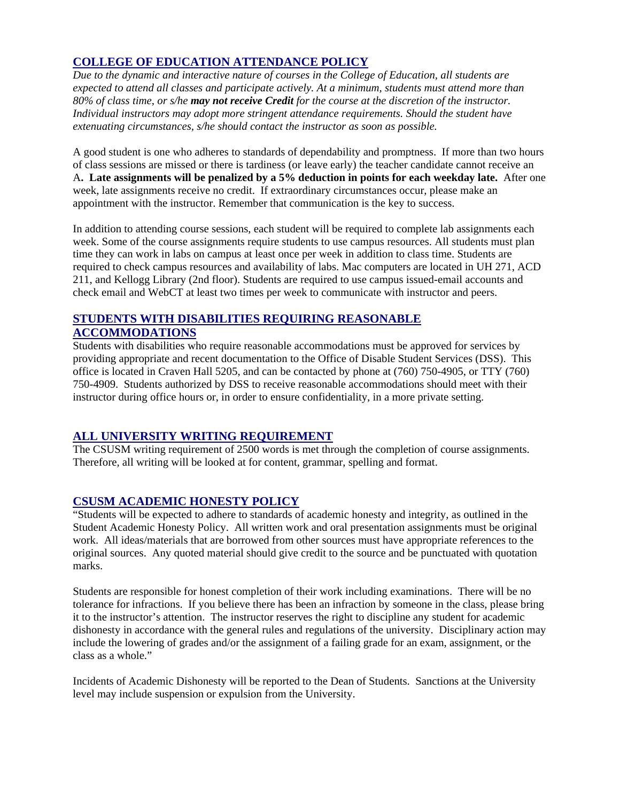## **COLLEGE OF EDUCATION ATTENDANCE POLICY**

*Due to the dynamic and interactive nature of courses in the College of Education, all students are expected to attend all classes and participate actively. At a minimum, students must attend more than 80% of class time, or s/he may not receive Credit for the course at the discretion of the instructor. Individual instructors may adopt more stringent attendance requirements. Should the student have extenuating circumstances, s/he should contact the instructor as soon as possible.* 

A good student is one who adheres to standards of dependability and promptness. If more than two hours of class sessions are missed or there is tardiness (or leave early) the teacher candidate cannot receive an A**. Late assignments will be penalized by a 5% deduction in points for each weekday late.** After one week, late assignments receive no credit. If extraordinary circumstances occur, please make an appointment with the instructor. Remember that communication is the key to success.

In addition to attending course sessions, each student will be required to complete lab assignments each week. Some of the course assignments require students to use campus resources. All students must plan time they can work in labs on campus at least once per week in addition to class time. Students are required to check campus resources and availability of labs. Mac computers are located in UH 271, ACD 211, and Kellogg Library (2nd floor). Students are required to use campus issued-email accounts and check email and WebCT at least two times per week to communicate with instructor and peers.

## **STUDENTS WITH DISABILITIES REQUIRING REASONABLE ACCOMMODATIONS**

Students with disabilities who require reasonable accommodations must be approved for services by providing appropriate and recent documentation to the Office of Disable Student Services (DSS). This office is located in Craven Hall 5205, and can be contacted by phone at (760) 750-4905, or TTY (760) 750-4909. Students authorized by DSS to receive reasonable accommodations should meet with their instructor during office hours or, in order to ensure confidentiality, in a more private setting.

## **ALL UNIVERSITY WRITING REQUIREMENT**

The CSUSM writing requirement of 2500 words is met through the completion of course assignments. Therefore, all writing will be looked at for content, grammar, spelling and format.

## **CSUSM ACADEMIC HONESTY POLICY**

"Students will be expected to adhere to standards of academic honesty and integrity, as outlined in the Student Academic Honesty Policy. All written work and oral presentation assignments must be original work. All ideas/materials that are borrowed from other sources must have appropriate references to the original sources. Any quoted material should give credit to the source and be punctuated with quotation marks.

Students are responsible for honest completion of their work including examinations. There will be no tolerance for infractions. If you believe there has been an infraction by someone in the class, please bring it to the instructor's attention. The instructor reserves the right to discipline any student for academic dishonesty in accordance with the general rules and regulations of the university. Disciplinary action may include the lowering of grades and/or the assignment of a failing grade for an exam, assignment, or the class as a whole."

Incidents of Academic Dishonesty will be reported to the Dean of Students. Sanctions at the University level may include suspension or expulsion from the University.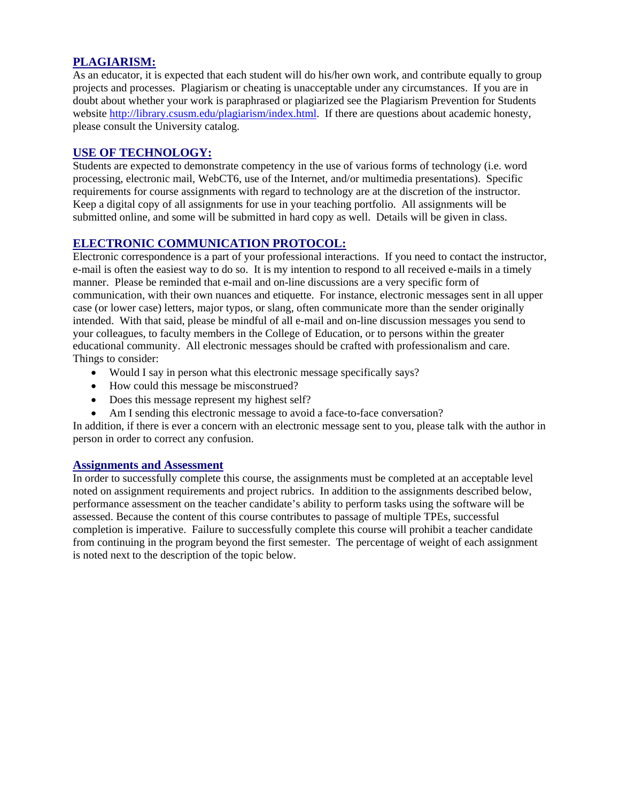## **PLAGIARISM:**

As an educator, it is expected that each student will do his/her own work, and contribute equally to group projects and processes. Plagiarism or cheating is unacceptable under any circumstances. If you are in doubt about whether your work is paraphrased or plagiarized see the Plagiarism Prevention for Students website http://library.csusm.edu/plagiarism/index.html. If there are questions about academic honesty, please consult the University catalog.

#### **USE OF TECHNOLOGY:**

Students are expected to demonstrate competency in the use of various forms of technology (i.e. word processing, electronic mail, WebCT6, use of the Internet, and/or multimedia presentations). Specific requirements for course assignments with regard to technology are at the discretion of the instructor. Keep a digital copy of all assignments for use in your teaching portfolio. All assignments will be submitted online, and some will be submitted in hard copy as well. Details will be given in class.

## **ELECTRONIC COMMUNICATION PROTOCOL:**

Electronic correspondence is a part of your professional interactions. If you need to contact the instructor, e-mail is often the easiest way to do so. It is my intention to respond to all received e-mails in a timely manner. Please be reminded that e-mail and on-line discussions are a very specific form of communication, with their own nuances and etiquette. For instance, electronic messages sent in all upper case (or lower case) letters, major typos, or slang, often communicate more than the sender originally intended. With that said, please be mindful of all e-mail and on-line discussion messages you send to your colleagues, to faculty members in the College of Education, or to persons within the greater educational community. All electronic messages should be crafted with professionalism and care. Things to consider:

- Would I say in person what this electronic message specifically says?
- How could this message be misconstrued?
- Does this message represent my highest self?
- Am I sending this electronic message to avoid a face-to-face conversation?

In addition, if there is ever a concern with an electronic message sent to you, please talk with the author in person in order to correct any confusion.

### **Assignments and Assessment**

In order to successfully complete this course, the assignments must be completed at an acceptable level noted on assignment requirements and project rubrics. In addition to the assignments described below, performance assessment on the teacher candidate's ability to perform tasks using the software will be assessed. Because the content of this course contributes to passage of multiple TPEs, successful completion is imperative. Failure to successfully complete this course will prohibit a teacher candidate from continuing in the program beyond the first semester. The percentage of weight of each assignment is noted next to the description of the topic below.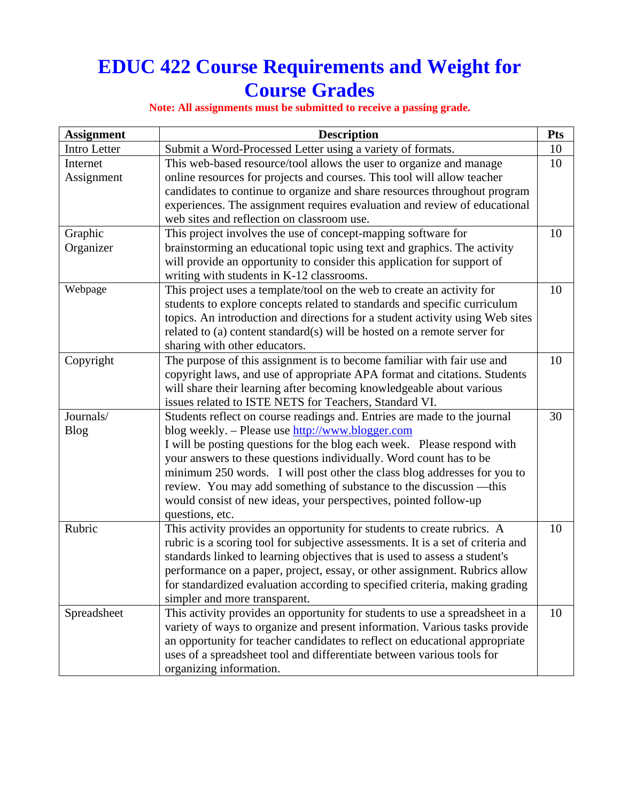# **EDUC 422 Course Requirements and Weight for Course Grades**

blog weekly. – Please use http://www.blogger.com Assignment Pts Intro Letter Submit a Word-Processed Letter using a variety of formats. 10 Internet Assignment This web-based resource/tool allows the user to organize and manage online resources for projects and courses. This tool will allow teacher candidates to continue to organize and share resources throughout program experiences. The assignment requires evaluation and review of educational web sites and reflection on classroom use. 10 Graphic Organizer This project involves the use of concept-mapping software for brainstorming an educational topic using text and graphics. The activity will provide an opportunity to consider this application for support of writing with students in K-12 classrooms. 10 Webpage This project uses a template/tool on the web to create an activity for students to explore concepts related to standards and specific curriculum topics. An introduction and directions for a student activity using Web sites related to (a) content standard(s) will be hosted on a remote server for sharing with other educators. 10 Copyright The purpose of this assignment is to become familiar with fair use and copyright laws, and use of appropriate APA format and citations. Students will share their learning after becoming knowledgeable about various issues related to ISTE NETS for Teachers, Standard VI. 10 Journals/ Blog Students reflect on course readings and. Entries are made to the journal I will be posting questions for the blog each week. Please respond with your answers to these questions individually. Word count has to be minimum 250 words. I will post other the class blog addresses for you to review. You may add something of substance to the discussion —this would consist of new ideas, your perspectives, pointed follow-up questions, etc. 30 Rubric This activity provides an opportunity for students to create rubrics. A rubric is a scoring tool for subjective assessments. It is a set of criteria and standards linked to learning objectives that is used to assess a student's performance on a paper, project, essay, or other assignment. Rubrics allow for standardized evaluation according to specified criteria, making grading simpler and more transparent. 10 Spreadsheet This activity provides an opportunity for students to use a spreadsheet in a variety of ways to organize and present information. Various tasks provide an opportunity for teacher candidates to reflect on educational appropriate uses of a spreadsheet tool and differentiate between various tools for organizing information. 10

**Note: All assignments must be submitted to receive a passing grade.**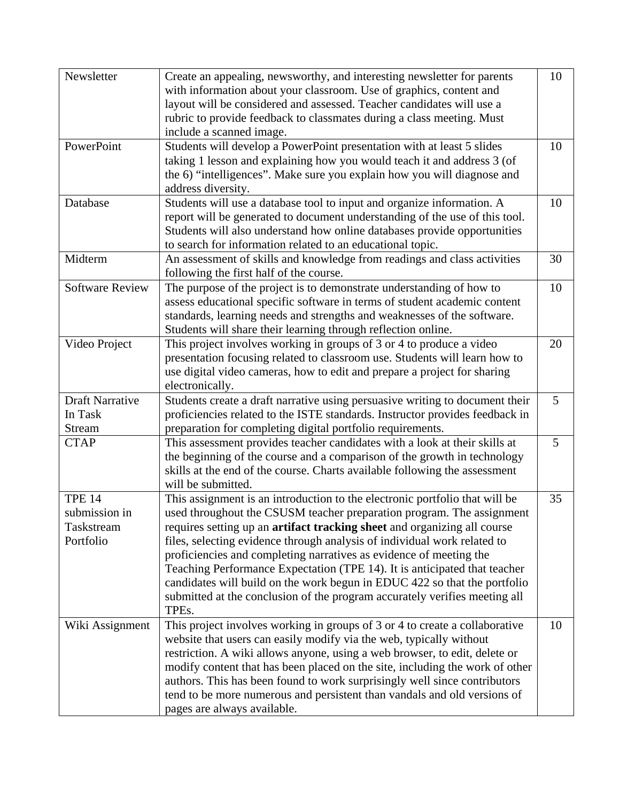| Newsletter             | Create an appealing, newsworthy, and interesting newsletter for parents                                 | 10 |  |
|------------------------|---------------------------------------------------------------------------------------------------------|----|--|
|                        | with information about your classroom. Use of graphics, content and                                     |    |  |
|                        | layout will be considered and assessed. Teacher candidates will use a                                   |    |  |
|                        | rubric to provide feedback to classmates during a class meeting. Must                                   |    |  |
|                        | include a scanned image.                                                                                | 10 |  |
| PowerPoint             | Students will develop a PowerPoint presentation with at least 5 slides                                  |    |  |
|                        | taking 1 lesson and explaining how you would teach it and address 3 (of                                 |    |  |
|                        | the 6) "intelligences". Make sure you explain how you will diagnose and                                 |    |  |
|                        | address diversity.                                                                                      |    |  |
| Database               | Students will use a database tool to input and organize information. A                                  | 10 |  |
|                        | report will be generated to document understanding of the use of this tool.                             |    |  |
|                        | Students will also understand how online databases provide opportunities                                |    |  |
|                        | to search for information related to an educational topic.                                              |    |  |
| Midterm                | An assessment of skills and knowledge from readings and class activities                                | 30 |  |
|                        | following the first half of the course.                                                                 |    |  |
| <b>Software Review</b> | The purpose of the project is to demonstrate understanding of how to                                    | 10 |  |
|                        | assess educational specific software in terms of student academic content                               |    |  |
|                        | standards, learning needs and strengths and weaknesses of the software.                                 |    |  |
|                        | Students will share their learning through reflection online.                                           |    |  |
| Video Project          | This project involves working in groups of 3 or 4 to produce a video                                    | 20 |  |
|                        | presentation focusing related to classroom use. Students will learn how to                              |    |  |
|                        | use digital video cameras, how to edit and prepare a project for sharing                                |    |  |
|                        | electronically.                                                                                         |    |  |
| <b>Draft Narrative</b> | Students create a draft narrative using persuasive writing to document their                            | 5  |  |
| In Task                | proficiencies related to the ISTE standards. Instructor provides feedback in                            |    |  |
| Stream                 | preparation for completing digital portfolio requirements.                                              | 5  |  |
| <b>CTAP</b>            | This assessment provides teacher candidates with a look at their skills at                              |    |  |
|                        | the beginning of the course and a comparison of the growth in technology                                |    |  |
|                        | skills at the end of the course. Charts available following the assessment                              |    |  |
|                        | will be submitted.                                                                                      |    |  |
| <b>TPE 14</b>          | This assignment is an introduction to the electronic portfolio that will be                             | 35 |  |
| submission in          | used throughout the CSUSM teacher preparation program. The assignment                                   |    |  |
| Taskstream             | requires setting up an <b>artifact tracking sheet</b> and organizing all course                         |    |  |
| Portfolio              | files, selecting evidence through analysis of individual work related to                                |    |  |
|                        | proficiencies and completing narratives as evidence of meeting the                                      |    |  |
|                        | Teaching Performance Expectation (TPE 14). It is anticipated that teacher                               |    |  |
|                        | candidates will build on the work begun in EDUC 422 so that the portfolio                               |    |  |
|                        | submitted at the conclusion of the program accurately verifies meeting all<br>TPEs.                     |    |  |
|                        |                                                                                                         |    |  |
| Wiki Assignment        | This project involves working in groups of 3 or 4 to create a collaborative                             | 10 |  |
|                        | website that users can easily modify via the web, typically without                                     |    |  |
|                        | restriction. A wiki allows anyone, using a web browser, to edit, delete or                              |    |  |
|                        | modify content that has been placed on the site, including the work of other                            |    |  |
|                        | authors. This has been found to work surprisingly well since contributors                               |    |  |
|                        |                                                                                                         |    |  |
|                        | tend to be more numerous and persistent than vandals and old versions of<br>pages are always available. |    |  |